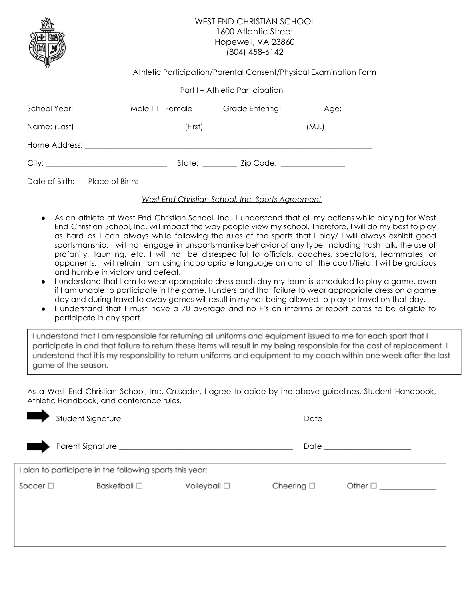#### WEST END CHRISTIAN SCHOOL 1600 Atlantic Street Hopewell, VA 23860 (804) 458-6142

#### Athletic Participation/Parental Consent/Physical Examination Form

|  | Part I-Athletic Participation |
|--|-------------------------------|
|  |                               |

| School Year: ________                                                                                                                                                                                                          | Male □ Female □ Grade Entering: ________ Age: _______ |                                    |  |
|--------------------------------------------------------------------------------------------------------------------------------------------------------------------------------------------------------------------------------|-------------------------------------------------------|------------------------------------|--|
|                                                                                                                                                                                                                                |                                                       |                                    |  |
| Home Address: The Company of the Company of the Company of the Company of the Company of the Company of the Company of the Company of the Company of the Company of the Company of the Company of the Company of the Company o |                                                       |                                    |  |
| City:                                                                                                                                                                                                                          |                                                       | State: <u>Union Zip Code:</u> 2014 |  |

Date of Birth: Place of Birth:

#### *West End Christian School, Inc. Sports Agreement*

- As an athlete at West End Christian School, Inc., I understand that all my actions while playing for West End Christian School, Inc. will impact the way people view my school. Therefore, I will do my best to play as hard as I can always while following the rules of the sports that I play/ I will always exhibit good sportsmanship. I will not engage in unsportsmanlike behavior of any type, including trash talk, the use of profanity, taunting, etc. I will not be disrespectful to officials, coaches, spectators, teammates, or opponents. I will refrain from using inappropriate language on and off the court/field. I will be gracious and humble in victory and defeat.
- I understand that I am to wear appropriate dress each day my team is scheduled to play a game, even if I am unable to participate in the game. I understand that failure to wear appropriate dress on a game day and during travel to away games will result in my not being allowed to play or travel on that day.
- I understand that I must have a 70 average and no F's on interims or report cards to be eligible to participate in any sport.

I understand that I am responsible for returning all uniforms and equipment issued to me for each sport that I participate in and that failure to return these items will result in my being responsible for the cost of replacement. I understand that it is my responsibility to return uniforms and equipment to my coach within one week after the last game of the season.

As a West End Christian School, Inc. Crusader, I agree to abide by the above guidelines, Student Handbook, Athletic Handbook, and conference rules.

|          |                                                        | Student Signature Management Control and Control of Student Signature |                 | Date ________________________ |  |
|----------|--------------------------------------------------------|-----------------------------------------------------------------------|-----------------|-------------------------------|--|
|          |                                                        |                                                                       |                 | Date ____________________     |  |
|          | plan to participate in the following sports this year: |                                                                       |                 |                               |  |
| Soccer □ | Basketball □                                           | Volleyball □                                                          | Cheering $\Box$ | Other $\square$               |  |
|          |                                                        |                                                                       |                 |                               |  |
|          |                                                        |                                                                       |                 |                               |  |
|          |                                                        |                                                                       |                 |                               |  |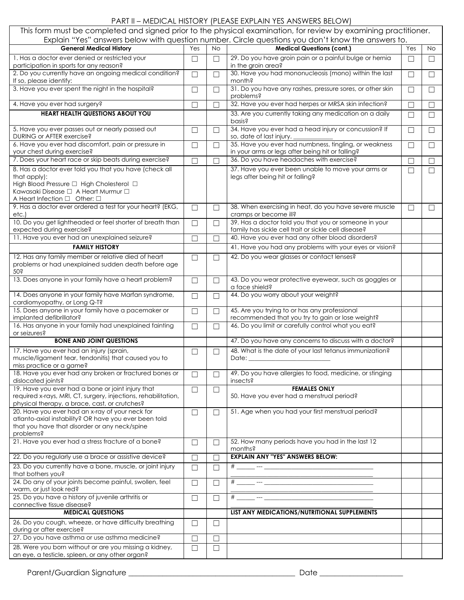# PART II – MEDICAL HISTORY (PLEASE EXPLAIN YES ANSWERS BELOW)

|                                                                                                                                                                                                     |                   |              | This form must be completed and signed prior to the physical examination, for review by examining practitioner. |        |                   |
|-----------------------------------------------------------------------------------------------------------------------------------------------------------------------------------------------------|-------------------|--------------|-----------------------------------------------------------------------------------------------------------------|--------|-------------------|
|                                                                                                                                                                                                     |                   |              | Explain "Yes" answers below with question number. Circle questions you don't know the answers to.               |        |                   |
| <b>General Medical History</b>                                                                                                                                                                      | Yes               | No.          | <b>Medical Questions (cont.)</b>                                                                                | Yes    | No                |
| 1. Has a doctor ever denied or restricted your<br>participation in sports for any reason?                                                                                                           | $\Box$            | $\Box$       | 29. Do you have groin pain or a painful bulge or hernia<br>in the groin area?                                   | $\Box$ | $\Box$            |
| 2. Do you currently have an ongoing medical condition?<br>If so, please identify:                                                                                                                   | □                 | □            | 30. Have you had mononucleosis (mono) within the last<br>month?                                                 | □      | $\vert \ \ \vert$ |
| 3. Have you ever spent the night in the hospital?                                                                                                                                                   | □                 | $\Box$       | 31. Do you have any rashes, pressure sores, or other skin<br>problems?                                          | П      | Ш                 |
| 4. Have you ever had surgery?                                                                                                                                                                       | П                 | П            | 32. Have you ever had herpes or MRSA skin infection?                                                            | П      | П                 |
| HEART HEALTH QUESTIONS ABOUT YOU                                                                                                                                                                    |                   |              | 33. Are you currently taking any medication on a daily                                                          | П      | П                 |
| 5. Have you ever passes out or nearly passed out                                                                                                                                                    |                   |              | basis?<br>34. Have you ever had a head injury or concussion? If                                                 |        |                   |
| DURING or AFTER exercise?                                                                                                                                                                           | $\Box$            | $\Box$       | so, date of last injury.                                                                                        | □      | П                 |
| 6. Have you ever had discomfort, pain or pressure in<br>your chest during exercise?                                                                                                                 | $\Box$            | $\Box$       | 35. Have you ever had numbness, tingling, or weakness<br>in your arms or legs after being hit or falling?       | □      | □                 |
| 7. Does your heart race or skip beats during exercise?                                                                                                                                              | $\vert \ \ \vert$ | П            | 36. Do you have headaches with exercise?                                                                        | П      |                   |
| 8. Has a doctor ever told you that you have (check all<br>that apply):<br>High Blood Pressure □ High Cholesterol □<br>Kawasaki Disease □ A Heart Murmur □<br>A Heart Infection $\Box$ Other: $\Box$ |                   |              | 37. Have you ever been unable to move your arms or<br>legs after being hit or falling?                          | □      | $\Box$            |
| 9. Has a doctor ever ordered a test for your heart? (EKG,<br>etc.)                                                                                                                                  | $\Box$            | $\Box$       | 38. When exercising in heat, do you have severe muscle<br>cramps or become ill?                                 | □      | ப                 |
| 10. Do you get lightheaded or feel shorter of breath than<br>expected during exercise?                                                                                                              | $\Box$            | П            | 39. Has a doctor told you that you or someone in your<br>family has sickle cell trait or sickle cell disease?   |        |                   |
| 11. Have you ever had an unexplained seizure?                                                                                                                                                       | $\Box$            | □            | 40. Have you ever had any other blood disorders?                                                                |        |                   |
| <b>FAMILY HISTORY</b>                                                                                                                                                                               |                   |              | 41. Have you had any problems with your eyes or vision?                                                         |        |                   |
| 12. Has any family member or relative died of heart<br>problems or had unexplained sudden death before age<br>50 <sub>5</sub>                                                                       | $\Box$            | $\Box$       | 42. Do you wear glasses or contact lenses?                                                                      |        |                   |
| 13. Does anyone in your family have a heart problem?                                                                                                                                                | $\Box$            | $\Box$       | 43. Do you wear protective eyewear, such as goggles or<br>a face shield?                                        |        |                   |
| 14. Does anyone in your family have Marfan syndrome,<br>cardiomyopathy, or Long Q-T?                                                                                                                | $\Box$            | $\Box$       | 44. Do you worry about your weight?                                                                             |        |                   |
| 15. Does anyone in your family have a pacemaker or<br>implanted defibrillator?                                                                                                                      | $\Box$            | $\Box$       | 45. Are you trying to or has any professional<br>recommended that you try to gain or lose weight?               |        |                   |
| 16. Has anyone in your family had unexplained fainting<br>or seizures?                                                                                                                              | □                 | $\Box$       | 46. Do you limit or carefully control what you eat?                                                             |        |                   |
| <b>BONE AND JOINT QUESTIONS</b>                                                                                                                                                                     |                   |              | 47. Do you have any concerns to discuss with a doctor?                                                          |        |                   |
| 17. Have you ever had an injury (sprain,<br>muscle/ligament tear, tendonitis) that caused you to<br>miss practice or a game?                                                                        | ⊔                 | $\mathsf{L}$ | 48. What is the date of your last tetanus immunization?<br>Date: $\_$                                           |        |                   |
| 18. Have you ever had any broken or fractured bones or<br>dislocated joints?                                                                                                                        | □                 | $\mathsf{L}$ | 49. Do you have allergies to food, medicine, or stinging<br>insects?                                            |        |                   |
| 19. Have you ever had a bone or joint injury that<br>required x-rays, MRI, CT, surgery, injections, rehabilitation,<br>physical therapy, a brace, cast, or crutches?                                | $\Box$            | $\Box$       | <b>FEMALES ONLY</b><br>50. Have you ever had a menstrual period?                                                |        |                   |
| 20. Have you ever had an x-ray of your neck for<br>atlanto-axial instability? OR have you ever been told<br>that you have that disorder or any neck/spine<br>problems?                              | $\Box$            | $\Box$       | 51. Age when you had your first menstrual period?                                                               |        |                   |
| 21. Have you ever had a stress fracture of a bone?                                                                                                                                                  | $\Box$            | ப            | 52. How many periods have you had in the last 12<br>months?                                                     |        |                   |
| 22. Do you regularly use a brace or assistive device?                                                                                                                                               | $\Box$            | □            | <b>EXPLAIN ANY "YES" ANSWERS BELOW:</b>                                                                         |        |                   |
| 23. Do you currently have a bone, muscle, or joint injury<br>that bothers you?                                                                                                                      | $\Box$            | $\Box$       |                                                                                                                 |        |                   |
| 24. Do any of your joints become painful, swollen, feel<br>warm, or just look red?                                                                                                                  | $\Box$            | □            | #                                                                                                               |        |                   |
| 25. Do you have a history of juvenile arthritis or<br>connective tissue disease?                                                                                                                    | $\Box$            | $\Box$       | #                                                                                                               |        |                   |
| <b>MEDICAL QUESTIONS</b>                                                                                                                                                                            |                   |              | LIST ANY MEDICATIONS/NUTRITIONAL SUPPLEMENTS                                                                    |        |                   |
| 26. Do you cough, wheeze, or have difficulty breathing<br>during or after exercise?                                                                                                                 | $\Box$            | □            |                                                                                                                 |        |                   |
| 27. Do you have asthma or use asthma medicine?                                                                                                                                                      | $\Box$            | $\Box$       |                                                                                                                 |        |                   |
| 28. Were you born without or are you missing a kidney,                                                                                                                                              | $\Box$            | $\Box$       |                                                                                                                 |        |                   |
| an eye, a testicle, spleen, or any other organ?                                                                                                                                                     |                   |              |                                                                                                                 |        |                   |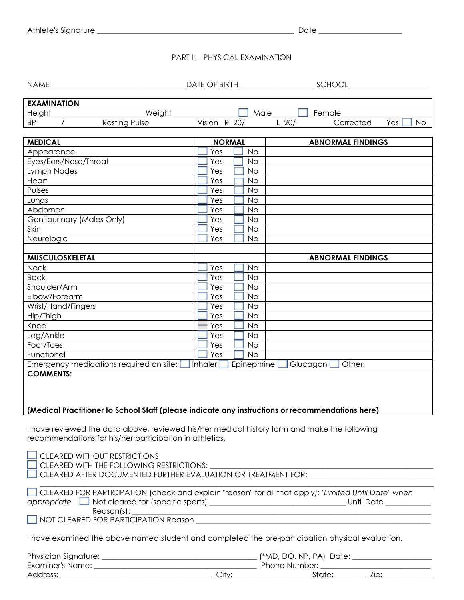#### PART III - PHYSICAL EXAMINATION

NAME \_\_\_\_\_\_\_\_\_\_\_\_\_\_\_\_\_\_\_\_\_\_\_\_\_\_\_\_\_\_\_\_\_\_\_ DATE OF BIRTH \_\_\_\_\_\_\_\_\_\_\_\_\_\_\_\_\_\_\_ SCHOOL \_\_\_\_\_\_\_\_\_\_\_\_\_\_\_\_\_\_\_\_

| <b>EXAMINATION</b> |                  |                                |      |           |           |           |
|--------------------|------------------|--------------------------------|------|-----------|-----------|-----------|
| Height             | Weight           |                                | Male | Female    |           |           |
| <b>BP</b>          | Pulse<br>Restina | .<br>20 <sub>l</sub><br>/ision |      | า∩<br>ZU, | Corrected | Yes<br>No |
|                    |                  |                                |      |           |           |           |

| <b>MEDICAL</b>                          | <b>NORMAL</b>                 | <b>ABNORMAL FINDINGS</b> |
|-----------------------------------------|-------------------------------|--------------------------|
| Appearance                              | <b>No</b><br>Yes              |                          |
| Eyes/Ears/Nose/Throat                   | Yes<br><b>No</b>              |                          |
| Lymph Nodes                             | Yes<br><b>No</b>              |                          |
| Heart                                   | Yes<br><b>No</b>              |                          |
| Pulses                                  | Yes<br>No                     |                          |
| Lungs                                   | Yes<br><b>No</b>              |                          |
| Abdomen                                 | Yes<br><b>No</b>              |                          |
| Genitourinary (Males Only)              | Yes<br><b>No</b>              |                          |
| Skin                                    | Yes<br><b>No</b>              |                          |
| Neurologic                              | <b>No</b><br>Yes              |                          |
|                                         |                               |                          |
| <b>MUSCULOSKELETAL</b>                  |                               | <b>ABNORMAL FINDINGS</b> |
| <b>Neck</b>                             | Yes<br><b>No</b>              |                          |
| <b>Back</b>                             | Yes<br><b>No</b>              |                          |
| Shoulder/Arm                            | Yes<br>No                     |                          |
| Elbow/Forearm                           | Yes<br><b>No</b>              |                          |
| Wrist/Hand/Fingers                      | Yes<br><b>No</b>              |                          |
| Hip/Thigh                               | Yes<br><b>No</b>              |                          |
| Knee                                    | Yes<br><b>No</b>              |                          |
| Leg/Ankle                               | Yes<br>No                     |                          |
| Foot/Toes                               | Yes<br>No                     |                          |
| Functional                              | Yes<br><b>No</b>              |                          |
| Emergency medications required on site: | <b>Inhaler</b><br>Epinephrine | Other:<br>Glucagon       |
| <b>COMMENTS:</b>                        |                               |                          |

#### **(Medical Practitioner to School Staff (please indicate any instructions or recommendations here)**

I have reviewed the data above, reviewed his/her medical history form and make the following recommendations for his/her participation in athletics.

CLEARED WITHOUT RESTRICTIONS

CLEARED WITH THE FOLLOWING RESTRICTIONS:

 $\Box$  CLEARED AFTER DOCUMENTED FURTHER EVALUATION OR TREATMENT FOR:

| CLEARED FOR PARTICIPATION (check and explain "reason" for all that apply): "Limited Until Date" when |            |
|------------------------------------------------------------------------------------------------------|------------|
| appropriate Not cleared for (specific sports) _                                                      | Until Date |
| $Reason(s): \_\_$                                                                                    |            |

NOT CLEARED FOR PARTICIPATION Reason \_\_\_\_\_\_\_\_\_\_\_\_\_\_\_\_\_\_\_\_\_\_\_\_\_\_\_\_\_\_\_\_\_\_\_\_\_\_\_\_\_\_\_\_\_\_\_\_\_\_\_\_\_\_\_\_\_\_\_\_\_\_

I have examined the above named student and completed the pre-participation physical evaluation.

| Physician Signature: |       | (*MD, DO, NP, PA) Date: |  |
|----------------------|-------|-------------------------|--|
| Examiner's Name:     |       | Phone Number:           |  |
| Address:             | Citv: | State:<br>ZID           |  |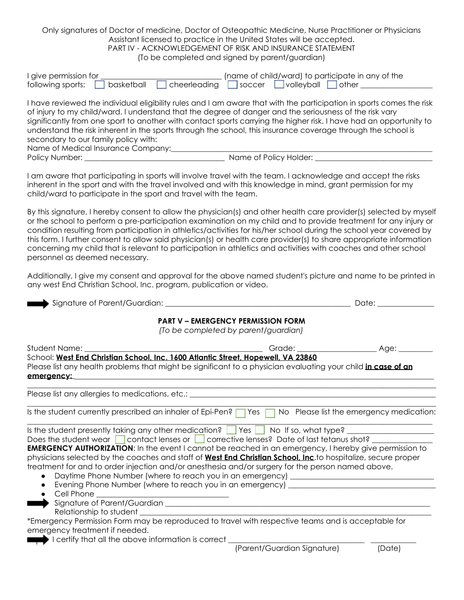Only signatures of Doctor of medicine, Doctor of Osteopathic Medicine, Nurse Practitioner or Physicians Assistant licensed to practice in the United States will be accepted. PART IV - ACKNOWLEDGEMENT OF RISK AND INSURANCE STATEMENT (To be completed and signed by parent/guardian)

| I give permission for |            |                                        |  | (name of child/ward) to participate in any of the |  |
|-----------------------|------------|----------------------------------------|--|---------------------------------------------------|--|
| following sports:     | basketball | I cheerleading soccer volleyball other |  |                                                   |  |

I have reviewed the individual eligibility rules and I am aware that with the participation in sports comes the risk of injury to my child/ward. I understand that the degree of danger and the seriousness of the risk vary significantly from one sport to another with contact sports carrying the higher risk. I have had an opportunity to understand the risk inherent in the sports through the school, this insurance coverage through the school is secondary to our family policy with: Name of Medical Insurance Company:\_\_\_\_\_\_\_\_\_\_\_\_\_\_\_\_\_\_\_\_\_\_\_\_\_\_\_\_\_\_\_\_\_\_\_\_\_\_\_\_\_\_\_\_\_\_\_\_\_\_\_\_\_\_\_\_\_\_\_\_\_\_\_\_\_\_\_\_\_

Policy Number: \_\_\_\_\_\_\_\_\_\_\_\_\_\_\_\_\_\_\_\_\_\_\_\_\_\_\_\_\_\_\_\_\_\_\_\_\_ Name of Policy Holder: \_\_\_\_\_\_\_\_\_\_\_\_\_\_\_\_\_\_\_\_\_\_\_\_\_\_\_\_\_\_\_

I am aware that participating in sports will involve travel with the team. I acknowledge and accept the risks inherent in the sport and with the travel involved and with this knowledge in mind, grant permission for my child/ward to participate in the sport and travel with the team.

By this signature, I hereby consent to allow the physician(s) and other health care provider(s) selected by myself or the school to perform a pre-participation examination on my child and to provide treatment for any injury or condition resulting from participation in athletics/activities for his/her school during the school year covered by this form. I further consent to allow said physician(s) or health care provider(s) to share appropriate information concerning my child that is relevant to participation in athletics and activities with coaches and other school personnel as deemed necessary.

Additionally, I give my consent and approval for the above named student's picture and name to be printed in any west End Christian School, Inc. program, publication or video.

|                                                                                                                                                                                                                                                                                                                                                                                                                                                                            |                                                                                                                                                                                                                                | Date: _______________ |
|----------------------------------------------------------------------------------------------------------------------------------------------------------------------------------------------------------------------------------------------------------------------------------------------------------------------------------------------------------------------------------------------------------------------------------------------------------------------------|--------------------------------------------------------------------------------------------------------------------------------------------------------------------------------------------------------------------------------|-----------------------|
|                                                                                                                                                                                                                                                                                                                                                                                                                                                                            | <b>PART V – EMERGENCY PERMISSION FORM</b><br>(To be completed by parent/guardian)                                                                                                                                              |                       |
| Student Name: contract to the Student Name:                                                                                                                                                                                                                                                                                                                                                                                                                                | Grade: The Contract of the Contract of the Contract of the Contract of the Contract of the Contract of the Contract of the Contract of the Contract of the Contract of the Contract of the Contract of the Contract of the Con | Age: Age:             |
| School: West End Christian School, Inc. 1600 Atlantic Street, Hopewell, VA 23860<br>Please list any health problems that might be significant to a physician evaluating your child in case of an<br>emergency: emergency:                                                                                                                                                                                                                                                  |                                                                                                                                                                                                                                |                       |
|                                                                                                                                                                                                                                                                                                                                                                                                                                                                            |                                                                                                                                                                                                                                |                       |
| Is the student currently prescribed an inhaler of Epi-Pen? Thes Theory No Please list the emergency medication:                                                                                                                                                                                                                                                                                                                                                            |                                                                                                                                                                                                                                |                       |
| Is the student presently taking any other medication? Thes Table No If so, what type?                                                                                                                                                                                                                                                                                                                                                                                      |                                                                                                                                                                                                                                |                       |
| Does the student wear contact lenses or corrective lenses? Date of last tetanus shot?<br><b>EMERGENCY AUTHORIZATION:</b> In the event I cannot be reached in an emergency, I hereby give permission to<br>physicians selected by the coaches and staff of <b>West End Christian School, Inc</b> .to hospitalize, secure proper<br>treatment for and to order injection and/or anesthesia and/or surgery for the person named above.<br>Relationship to student ___________ | Daytime Phone Number (where to reach you in an emergency) ______________________<br>Evening Phone Number (where to reach you in an emergency) ______________________                                                           |                       |
| *Emergency Permission Form may be reproduced to travel with respective teams and is acceptable for<br>emergency treatment if needed.<br>I certify that all the above information is correct __                                                                                                                                                                                                                                                                             |                                                                                                                                                                                                                                |                       |
|                                                                                                                                                                                                                                                                                                                                                                                                                                                                            | (Parent/Guardian Signature)                                                                                                                                                                                                    | (Date)                |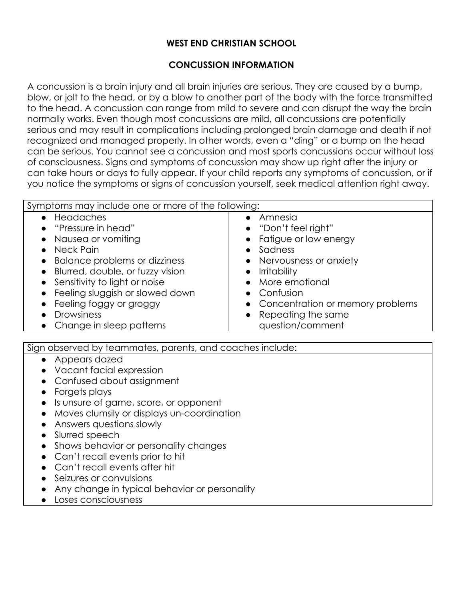# **WEST END CHRISTIAN SCHOOL**

### **CONCUSSION INFORMATION**

A concussion is a brain injury and all brain injuries are serious. They are caused by a bump, blow, or jolt to the head, or by a blow to another part of the body with the force transmitted to the head. A concussion can range from mild to severe and can disrupt the way the brain normally works. Even though most concussions are mild, all concussions are potentially serious and may result in complications including prolonged brain damage and death if not recognized and managed properly. In other words, even a "ding" or a bump on the head can be serious. You cannot see a concussion and most sports concussions occur without loss of consciousness. Signs and symptoms of concussion may show up right after the injury or can take hours or days to fully appear. If your child reports any symptoms of concussion, or if you notice the symptoms or signs of concussion yourself, seek medical attention right away.

| Symptoms may include one or more of the following: |                                    |  |  |  |
|----------------------------------------------------|------------------------------------|--|--|--|
| • Headaches                                        | Amnesia                            |  |  |  |
| • "Pressure in head"                               | • "Don't feel right"               |  |  |  |
| • Nausea or vomiting                               | • Fatigue or low energy            |  |  |  |
| • Neck Pain                                        | • Sadness                          |  |  |  |
| • Balance problems or dizziness                    | • Nervousness or anxiety           |  |  |  |
| • Blurred, double, or fuzzy vision                 | • Irritability                     |  |  |  |
| • Sensitivity to light or noise                    | • More emotional                   |  |  |  |
| • Feeling sluggish or slowed down                  | • Confusion                        |  |  |  |
| • Feeling foggy or groggy                          | • Concentration or memory problems |  |  |  |
| <b>Drowsiness</b>                                  | • Repeating the same               |  |  |  |
| • Change in sleep patterns                         | question/comment                   |  |  |  |

Sign observed by teammates, parents, and coaches include:

- Appears dazed
- Vacant facial expression
- Confused about assignment
- Forgets plays
- Is unsure of game, score, or opponent
- Moves clumsily or displays un-coordination
- Answers questions slowly
- Slurred speech
- Shows behavior or personality changes
- Can't recall events prior to hit
- Can't recall events after hit
- Seizures or convulsions
- Any change in typical behavior or personality
- Loses consciousness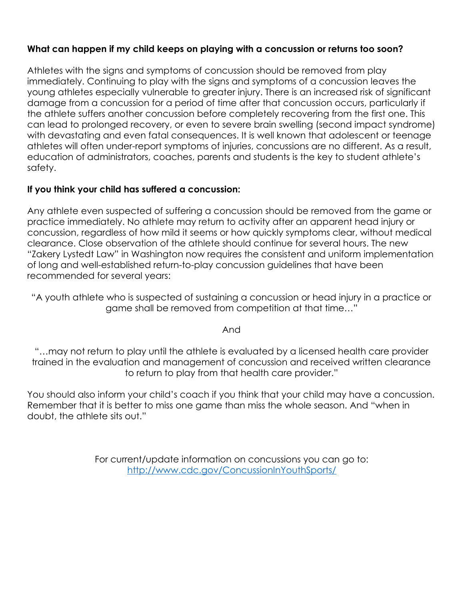# **What can happen if my child keeps on playing with a concussion or returns too soon?**

Athletes with the signs and symptoms of concussion should be removed from play immediately. Continuing to play with the signs and symptoms of a concussion leaves the young athletes especially vulnerable to greater injury. There is an increased risk of significant damage from a concussion for a period of time after that concussion occurs, particularly if the athlete suffers another concussion before completely recovering from the first one. This can lead to prolonged recovery, or even to severe brain swelling (second impact syndrome) with devastating and even fatal consequences. It is well known that adolescent or teenage athletes will often under-report symptoms of injuries, concussions are no different. As a result, education of administrators, coaches, parents and students is the key to student athlete's safety.

## **If you think your child has suffered a concussion:**

Any athlete even suspected of suffering a concussion should be removed from the game or practice immediately. No athlete may return to activity after an apparent head injury or concussion, regardless of how mild it seems or how quickly symptoms clear, without medical clearance. Close observation of the athlete should continue for several hours. The new "Zakery Lystedt Law" in Washington now requires the consistent and uniform implementation of long and well-established return-to-play concussion guidelines that have been recommended for several years:

"A youth athlete who is suspected of sustaining a concussion or head injury in a practice or game shall be removed from competition at that time…"

And

"…may not return to play until the athlete is evaluated by a licensed health care provider trained in the evaluation and management of concussion and received written clearance to return to play from that health care provider."

You should also inform your child's coach if you think that your child may have a concussion. Remember that it is better to miss one game than miss the whole season. And "when in doubt, the athlete sits out."

> For current/update information on concussions you can go to: <http://www.cdc.gov/ConcussionInYouthSports/>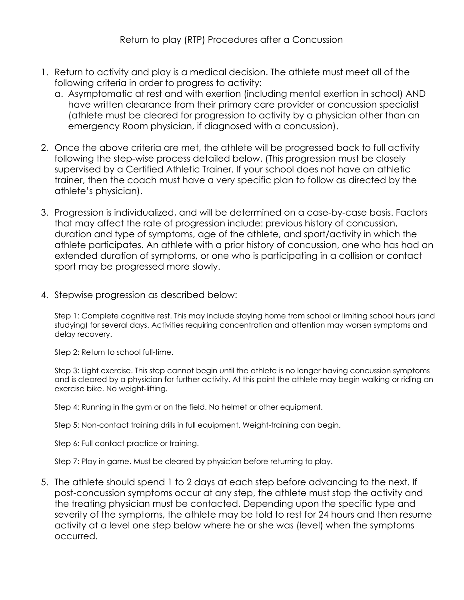- 1. Return to activity and play is a medical decision. The athlete must meet all of the following criteria in order to progress to activity:
	- a. Asymptomatic at rest and with exertion (including mental exertion in school) AND have written clearance from their primary care provider or concussion specialist (athlete must be cleared for progression to activity by a physician other than an emergency Room physician, if diagnosed with a concussion).
- 2. Once the above criteria are met, the athlete will be progressed back to full activity following the step-wise process detailed below. (This progression must be closely supervised by a Certified Athletic Trainer. If your school does not have an athletic trainer, then the coach must have a very specific plan to follow as directed by the athlete's physician).
- 3. Progression is individualized, and will be determined on a case-by-case basis. Factors that may affect the rate of progression include: previous history of concussion, duration and type of symptoms, age of the athlete, and sport/activity in which the athlete participates. An athlete with a prior history of concussion, one who has had an extended duration of symptoms, or one who is participating in a collision or contact sport may be progressed more slowly.
- 4. Stepwise progression as described below:

Step 1: Complete cognitive rest. This may include staying home from school or limiting school hours (and studying) for several days. Activities requiring concentration and attention may worsen symptoms and delay recovery.

Step 2: Return to school full-time.

Step 3: Light exercise. This step cannot begin until the athlete is no longer having concussion symptoms and is cleared by a physician for further activity. At this point the athlete may begin walking or riding an exercise bike. No weight-lifting.

Step 4: Running in the gym or on the field. No helmet or other equipment.

Step 5: Non-contact training drills in full equipment. Weight-training can begin.

Step 6: Full contact practice or training.

Step 7: Play in game. Must be cleared by physician before returning to play.

5. The athlete should spend 1 to 2 days at each step before advancing to the next. If post-concussion symptoms occur at any step, the athlete must stop the activity and the treating physician must be contacted. Depending upon the specific type and severity of the symptoms, the athlete may be told to rest for 24 hours and then resume activity at a level one step below where he or she was (level) when the symptoms occurred.